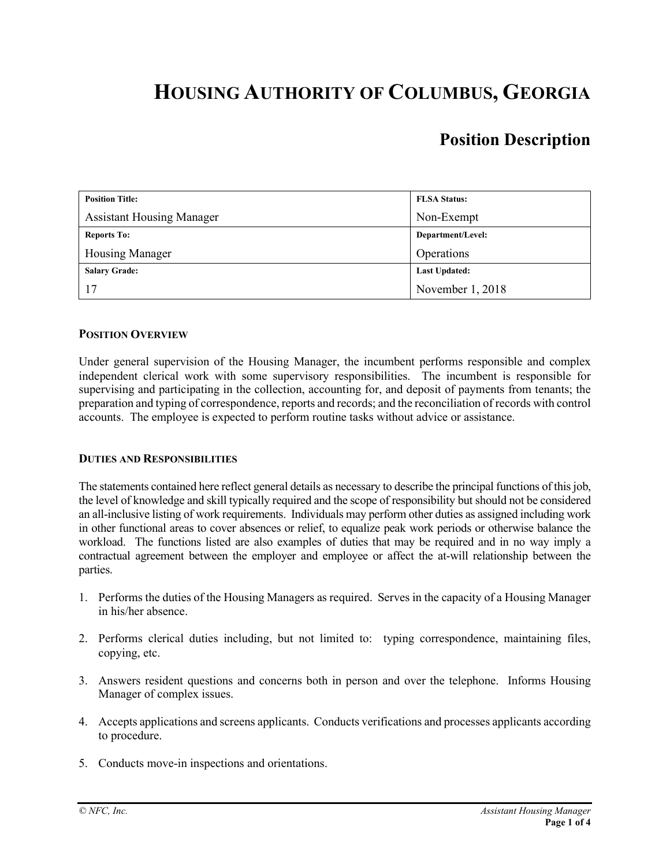# **HOUSING AUTHORITY OF COLUMBUS, GEORGIA**

# **Position Description**

| <b>Position Title:</b>           | <b>FLSA Status:</b>  |
|----------------------------------|----------------------|
| <b>Assistant Housing Manager</b> | Non-Exempt           |
| <b>Reports To:</b>               | Department/Level:    |
| Housing Manager                  | Operations           |
| <b>Salary Grade:</b>             | <b>Last Updated:</b> |
| 17                               | November 1, 2018     |

#### **POSITION OVERVIEW**

Under general supervision of the Housing Manager, the incumbent performs responsible and complex independent clerical work with some supervisory responsibilities. The incumbent is responsible for supervising and participating in the collection, accounting for, and deposit of payments from tenants; the preparation and typing of correspondence, reports and records; and the reconciliation of records with control accounts. The employee is expected to perform routine tasks without advice or assistance.

#### **DUTIES AND RESPONSIBILITIES**

The statements contained here reflect general details as necessary to describe the principal functions of this job, the level of knowledge and skill typically required and the scope of responsibility but should not be considered an all-inclusive listing of work requirements. Individuals may perform other duties as assigned including work in other functional areas to cover absences or relief, to equalize peak work periods or otherwise balance the workload. The functions listed are also examples of duties that may be required and in no way imply a contractual agreement between the employer and employee or affect the at-will relationship between the parties.

- 1. Performs the duties of the Housing Managers as required. Serves in the capacity of a Housing Manager in his/her absence.
- 2. Performs clerical duties including, but not limited to: typing correspondence, maintaining files, copying, etc.
- 3. Answers resident questions and concerns both in person and over the telephone. Informs Housing Manager of complex issues.
- 4. Accepts applications and screens applicants. Conducts verifications and processes applicants according to procedure.
- 5. Conducts move-in inspections and orientations.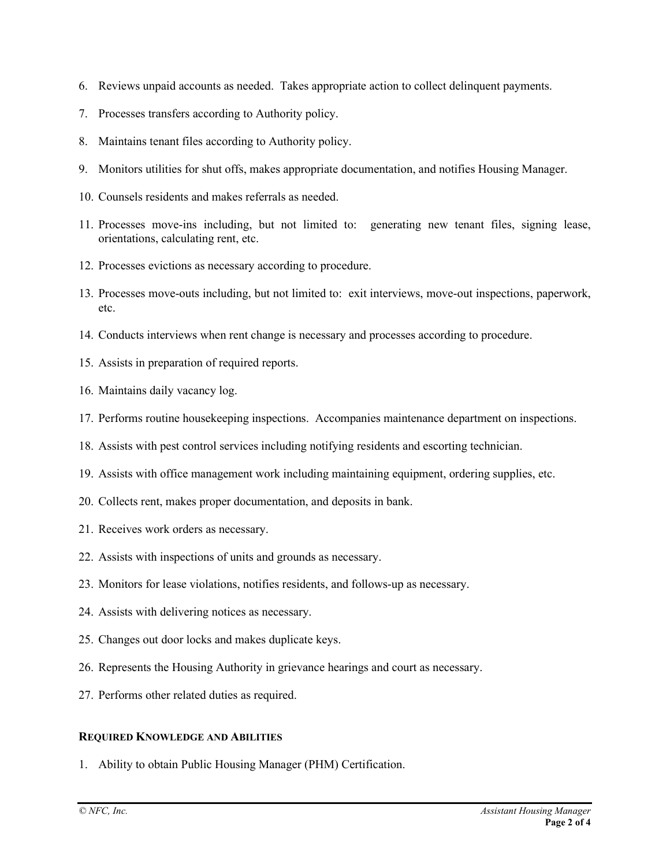- 6. Reviews unpaid accounts as needed. Takes appropriate action to collect delinquent payments.
- 7. Processes transfers according to Authority policy.
- 8. Maintains tenant files according to Authority policy.
- 9. Monitors utilities for shut offs, makes appropriate documentation, and notifies Housing Manager.
- 10. Counsels residents and makes referrals as needed.
- 11. Processes move-ins including, but not limited to: generating new tenant files, signing lease, orientations, calculating rent, etc.
- 12. Processes evictions as necessary according to procedure.
- 13. Processes move-outs including, but not limited to: exit interviews, move-out inspections, paperwork, etc.
- 14. Conducts interviews when rent change is necessary and processes according to procedure.
- 15. Assists in preparation of required reports.
- 16. Maintains daily vacancy log.
- 17. Performs routine housekeeping inspections. Accompanies maintenance department on inspections.
- 18. Assists with pest control services including notifying residents and escorting technician.
- 19. Assists with office management work including maintaining equipment, ordering supplies, etc.
- 20. Collects rent, makes proper documentation, and deposits in bank.
- 21. Receives work orders as necessary.
- 22. Assists with inspections of units and grounds as necessary.
- 23. Monitors for lease violations, notifies residents, and follows-up as necessary.
- 24. Assists with delivering notices as necessary.
- 25. Changes out door locks and makes duplicate keys.
- 26. Represents the Housing Authority in grievance hearings and court as necessary.
- 27. Performs other related duties as required.

#### **REQUIRED KNOWLEDGE AND ABILITIES**

1. Ability to obtain Public Housing Manager (PHM) Certification.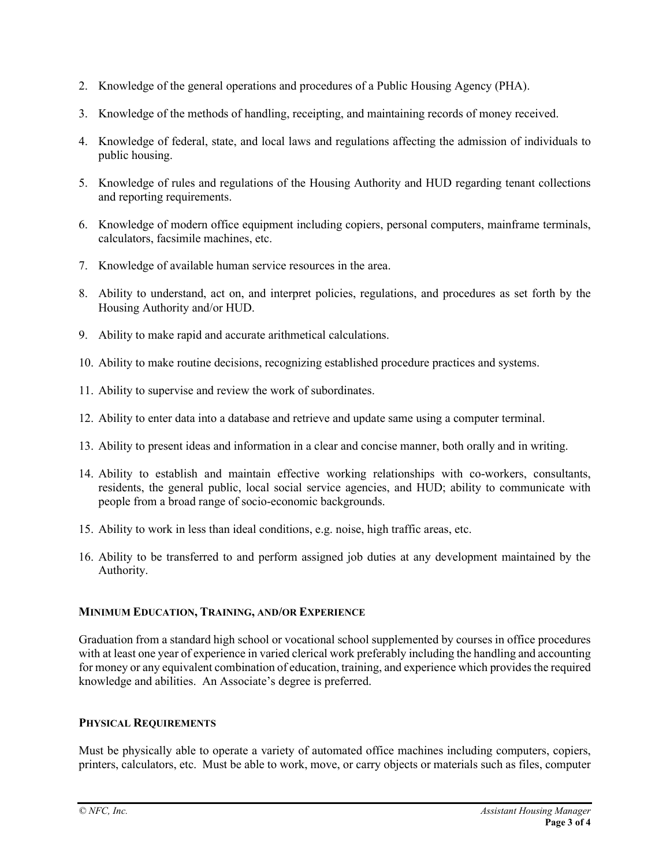- 2. Knowledge of the general operations and procedures of a Public Housing Agency (PHA).
- 3. Knowledge of the methods of handling, receipting, and maintaining records of money received.
- 4. Knowledge of federal, state, and local laws and regulations affecting the admission of individuals to public housing.
- 5. Knowledge of rules and regulations of the Housing Authority and HUD regarding tenant collections and reporting requirements.
- 6. Knowledge of modern office equipment including copiers, personal computers, mainframe terminals, calculators, facsimile machines, etc.
- 7. Knowledge of available human service resources in the area.
- 8. Ability to understand, act on, and interpret policies, regulations, and procedures as set forth by the Housing Authority and/or HUD.
- 9. Ability to make rapid and accurate arithmetical calculations.
- 10. Ability to make routine decisions, recognizing established procedure practices and systems.
- 11. Ability to supervise and review the work of subordinates.
- 12. Ability to enter data into a database and retrieve and update same using a computer terminal.
- 13. Ability to present ideas and information in a clear and concise manner, both orally and in writing.
- 14. Ability to establish and maintain effective working relationships with co-workers, consultants, residents, the general public, local social service agencies, and HUD; ability to communicate with people from a broad range of socio-economic backgrounds.
- 15. Ability to work in less than ideal conditions, e.g. noise, high traffic areas, etc.
- 16. Ability to be transferred to and perform assigned job duties at any development maintained by the Authority.

### **MINIMUM EDUCATION, TRAINING, AND/OR EXPERIENCE**

Graduation from a standard high school or vocational school supplemented by courses in office procedures with at least one year of experience in varied clerical work preferably including the handling and accounting for money or any equivalent combination of education, training, and experience which provides the required knowledge and abilities. An Associate's degree is preferred.

#### **PHYSICAL REQUIREMENTS**

Must be physically able to operate a variety of automated office machines including computers, copiers, printers, calculators, etc. Must be able to work, move, or carry objects or materials such as files, computer